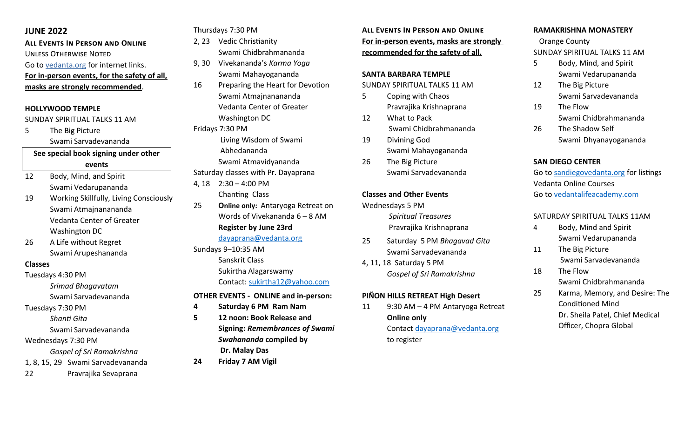# **JUNE 2022**

**All Events In Person and Online** Unless Otherwise Noted Go to [vedanta.org](https://vedanta.org/) for internet links. **For in-person events, for the safety of all, masks are strongly recommended**.

## **HOLLYWOOD TEMPLE**

#### SUNDAY SPIRITUAL TALKS 11 AM

5 The Big Picture Swami Sarvadevananda

# **See special book signing under other events**

- 12 Body, Mind, and Spirit Swami Vedarupananda
- 19 Working Skillfully, Living Consciously Swami Atmajnanananda Vedanta Center of Greater Washington DC
- 26 A Life without Regret Swami Arupeshananda

#### **Classes**

- Tuesdays 4:30 PM
	- *Srimad Bhagavatam* Swami Sarvadevananda
- Tuesdays 7:30 PM
- *Shanti Gita*
- Swami Sarvadevananda

# Wednesdays 7:30 PM

- *Gospel of Sri Ramakrishna*
- 1, 8, 15, 29 Swami Sarvadevananda
- 22 Pravrajika Sevaprana

Thursdays 7:30 PM

- 2, 23 Vedic Christianity
- Swami Chidbrahmananda 9, 30 Vivekananda's *Karma Yoga*
- Swami Mahayogananda
- 16 Preparing the Heart for Devotion Swami Atmajnanananda Vedanta Center of Greater Washington DC

Fridays 7:30 PM

 Living Wisdom of Swami Abhedananda Swami Atmavidyananda Saturday classes with Pr. Dayaprana

- 4, 18 2:30 4:00 PM Chanting Class
- 25 **Online only:** Antaryoga Retreat on Words of Vivekananda 6 – 8 AM **Register by June 23rd** [dayaprana@vedanta.org](mailto:dayaprana@vedanta.org)
- Sundays 9–10:35 AM Sanskrit Class Sukirtha Alagarswamy Contact: [sukirtha12@yahoo.com](mailto:sukirtha12@yahoo.com)

#### **OTHER EVENTS - ONLINE and in-person:**

- **4 Saturday 6 PM Ram Nam**
- **5 12 noon: Book Release and Signing:** *Remembrances of Swami Swahananda* **compiled by Dr. Malay Das**
- **24 Friday 7 AM Vigil**

**All Events In Person and Online For in-person events, masks are strongly recommended for the safety of all.**

#### **SANTA BARBARA TEMPLE**

SUNDAY SPIRITUAL TALKS 11 AM

- 5 Coping with Chaos Pravrajika Krishnaprana
- 12 What to Pack Swami Chidbrahmananda
- 19 Divining God Swami Mahayogananda
- 26 The Big Picture Swami Sarvadevananda

### **Classes and Other Events**

Wednesdays 5 PM *Spiritual Treasures* Pravrajika Krishnaprana

- 25 Saturday 5 PM *Bhagavad Gita* Swami Sarvadevananda
- 4, 11, 18 Saturday 5 PM *Gospel of Sri Ramakrishna*

# **PIÑON HILLS RETREAT High Desert**

11 9:30 AM – 4 PM Antaryoga Retreat **Online only**  Contact [dayaprana@vedanta.org](mailto:dayaprana@vedanta.org) to register

## **RAMAKRISHNA MONASTERY**

 Orange County SUNDAY SPIRITUAL TALKS 11 AM

- 5 Body, Mind, and Spirit Swami Vedarupananda
- 12 The Big Picture Swami Sarvadevananda
- 19 The Flow Swami Chidbrahmananda
- 26 The Shadow Self Swami Dhyanayogananda

# **SAN DIEGO CENTER**

Go to [sandiegovedanta.org](https://sandiegovedanta.org/) for listings Vedanta Online Courses Go to [vedantalifeacademy.com](https://vedantalifeacademy.com/)

## SATURDAY SPIRITUAL TALKS 11AM

- 4 Body, Mind and Spirit Swami Vedarupananda
- 11 The Big Picture Swami Sarvadevananda
- 18 The Flow Swami Chidbrahmananda
- 25 Karma, Memory, and Desire: The Conditioned Mind Dr. Sheila Patel, Chief Medical Officer, Chopra Global